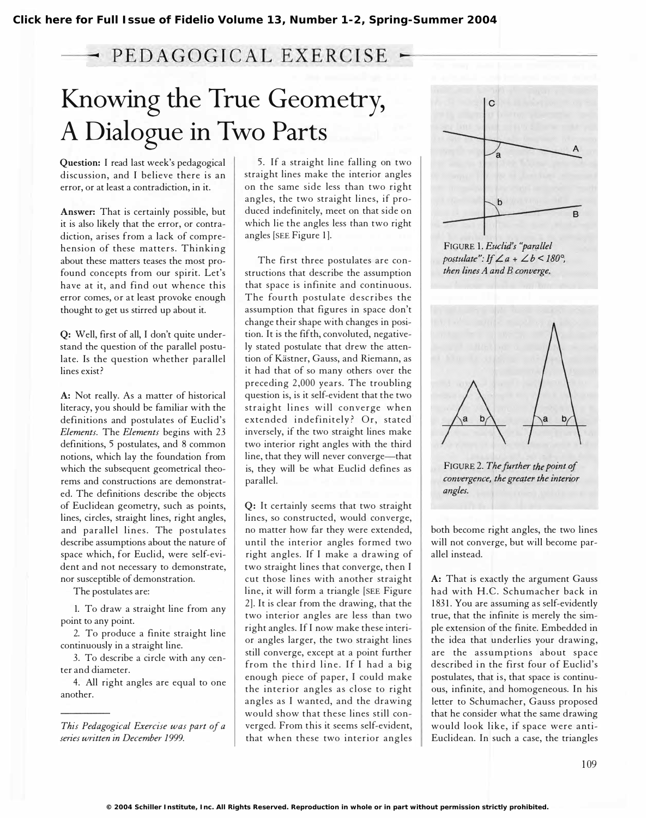## Full Issue of Fidelio Volume 13, Number 1-2, Spring-Summer 2004<br>
• PEDAGOGICAL EXERCISE<br>
• Owing the True Geometry,<br>  $\begin{array}{r} \text{Dialogue in Two Parts} \\ \text{Diague in Two Parts} \\ \text{in, and I believe there is an} \\ \text{at least a contradiction, in it.} \end{array}$ Knowing the True Geometry, A Dialogue in Two Parts

Question: I read last week's pedagogical disc ussion, and I believe there is an error, or at least a contradiction, in it.

Answer: That is certainly possible, but it is also likely that the error, or contradiction, arises from a lack of comprehension of these matters. Thinking about these matters teases the most profound concepts from our spirit. Let's have at it, and find out whence this error comes, or at least provoke enough thought to get us stirred up about it.

Q: Well, first of all, I don't quite understand the question of the parallel postulate. Is the question whether parallel lines exist?

A: Not really. As a matter of historical literacy, you should be familiar with the definitions and postulates of Euclid's Elements. The Elements begins with 23 definitions, 5 postulates, and 8 common notions, which lay the foundation from which the subsequent geometrical theorems and constructions are demonstrated. The definitions describe the objects of Euclidean geometry, such as points, lines, circles, straight lines, right angles, and parallel lines. The postulates describe assumptions about the nature of space which, for Euclid, were self-evident and not necessary to demonstrate, nor susceptible of demonstration.

The postulates are:

1. To draw a straight line from any point to any point.

2. To produce a finite straight line continuously in a straight line.

3. To describe a circle with any center and diameter.

4. All right angles are equal to one another.

This Pedagogical Exercise was part of a series written in December 1999.

5. If a straight line falling on two straight lines make the interior angles on the same side less than two right angles, the two straight lines, if produced indefinitely, meet on that side on which lie the angles less than two right angles [SEE Figure 1].

The first three postulates are constructions that describe the assumption that space is infinite and continuous. The fourth postulate describes the assumption that figures in space don't change their shape with changes in position. It is the fifth, convoluted, negatively stated postulate that drew the attention of Kästner, Gauss, and Riemann, as it had that of so many others over the preceding 2,000 years. The troubling question is, is it self-evident that the two straight lines will converge when extended indefinitely? Or, stated inversely, if the two straight lines make two interior right angles with the third line, that they will never converge-that is, they will be what Euclid defines as parallel.

Q: It certainly seems that two straight lines, so constructed, would converge, no matter how far they were extended, until the interior angles formed two right angles. If I make a drawing of two straight lines that converge, then I cut those lines with another straight line, it will form a triangle [SEE Figure 2]. It is clear from the drawing, that the two interior angles are less than two right angles. If I now make these interior angles larger, the two straight lines still converge, except at a point further from the third line. If I had a big enough piece of paper, I could make the interior angles as close to right angles as I wanted, and the drawing would show that these lines still converged. From this it seems self-evident, that when these two interior angles



FIGURE 1. Euclid's "parallel postulate": If  $\angle a + \angle b \le 180^\circ$ . then lines A and B converge.



FIGURE 2. The further the point of convergence, the greater the interior angles.

both become right angles, the two lines will not converge, but will become parallel instead.

A: That is exactly the argument Gauss had with H.C. Schumacher back in 1831. You are assuming as self-evidently true, that the infinite is merely the simple extension of the finite. Embedded in the idea that underlies your drawing, are the assumptions about space described in the first four of Euclid's postulates, that is, that space is continuous, infinite, and homogeneous. In his letter to Schumacher, Gauss proposed that he consider what the same drawing would look like, if space were anti-Euclidean. In such a case, the triangles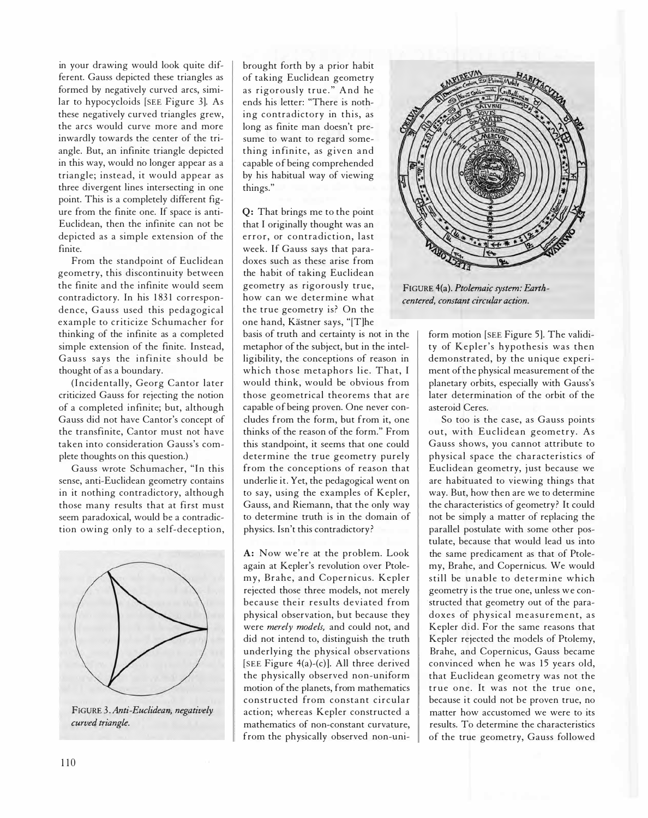in your drawing would look quite different. Gauss depicted these triangles as formed by negatively curved arcs, similar to hypocycloids [SEE Figure 3]. As these negatively curved triangles grew, the arcs would curve more and more inwardly towards the center of the triangle. But, an infinite triangle depicted in this way, would no longer appear as a triangle; instead, it would appear as three divergent lines intersecting in one point. This is a completely different figure from the finite one. If space is anti-Euclidean, then the infinite can not be depicted as a simple extension of the finite.

From the standpoint of Euclidean geometry, this discontinuity between the finite and the infinite would seem contradictory. In his 1831 correspondence, Gauss used this pedagogical example to criticize Schumacher for thinking of the infinite as a completed simple extension of the finite. Instead, Gauss says the infinite should be thought of as a boundary.

(Incidentally, Georg Cantor later criticized Gauss for rejecting the notion of a completed infinite; but, although Gauss did not have Cantor's concept of the transfinite, Cantor must not have taken into consideration Gauss's complete thoughts on this question.)

Gauss wrote Schumacher, "In this sense, anti-Euclidean geometry contains in it nothing contradictory, although those many results that at first must seem paradoxical, would be a contradiction owing only to a self-deception,



FIGURE 3. Anti-Euclidean, negatively curved triangle.

brought forth by a prior habit of taking Euclidean geometry as rigorously true." And he ends his letter: "There is nothing contradictory in this, as long as finite man doesn't presume to want to regard something infinite, as given and capable of being comprehended by his habitual way of viewing things."

Q: That brings me to the point that I originally thought was an error, or contradiction, last week. If Gauss says that paradoxes such as these arise from the habit of taking Euclidean geometry as rigorously true, how can we determine what the true geometry is? On the one hand, Kästner says, "[T]he

basis of truth and certainty is not in the metaphor of the subject, but in the intelligibility, the conceptions of reason in which those metaphors lie. That, I would think, would be obvious from those geometrical theorems that are capable of being proven. One never concludes from the form, but from it, one thinks of the reason of the form." From this standpoint, it seems that one could determine the true geometry purely from the conceptions of reason that underlie it. Yet, the pedagogical went on to say, using the examples of Kepler, Gauss, and Riemann, that the only way to determine truth is in the domain of physics. Isn't this contradictory ?

A: Now we're at the problem. Look again at Kepler's revolution over Ptolemy, Brahe, and Copernicus. Kepler rejected those three models, not merely because their results dev iated from physical observation, but because they were merely models, and could not, and did not intend to, distinguish the truth underlying the physical observations [SEE Figure 4(a)-(c)]. All three derived the physically observed non-uniform motion of the planets, from mathematics constructed from constant circular action; whereas Kepler constructed a mathematics of non-constant curvature, from the physically observed non-uni-



FIGURE 4(a). Ptolemaic system: Earthcentered, constant circular action.

form motion [SEE Figure 5]. The validity of Kepler's hypothesis was then demonstrated, by the unique experiment of the physical measurement of the planetary orbits, especially with Gauss's later determination of the orbit of the asteroid Ceres.

So too is the case, as Gauss points out, with Euclidean geometry. As Gauss shows, you cannot attribute to physical space the characteristics of Euclidean geometry, just because we are habituated to viewing things that way. But, how then are we to determine the characteristics of geometry? It could not be simply a matter of replacing the parallel postulate with some other postulate, because that would lead us into the same predicament as that of Ptolemy, Brahe, and Copernicus. We would still be unable to determine which geometry is the true one, unless we con . structed that geometry out of the paradoxes of physical measurement, as Kepler did. For the same reasons that Kepler rejected the models of Ptolemy, Brahe, and Copernicus, Gauss became convinced when he was 15 years old, that Euclidean geometry was not the true one. It was not the true one, because it could not be proven true, no matter how accustomed we were to its results. To determine the characteristics of the true geometry, Gauss followed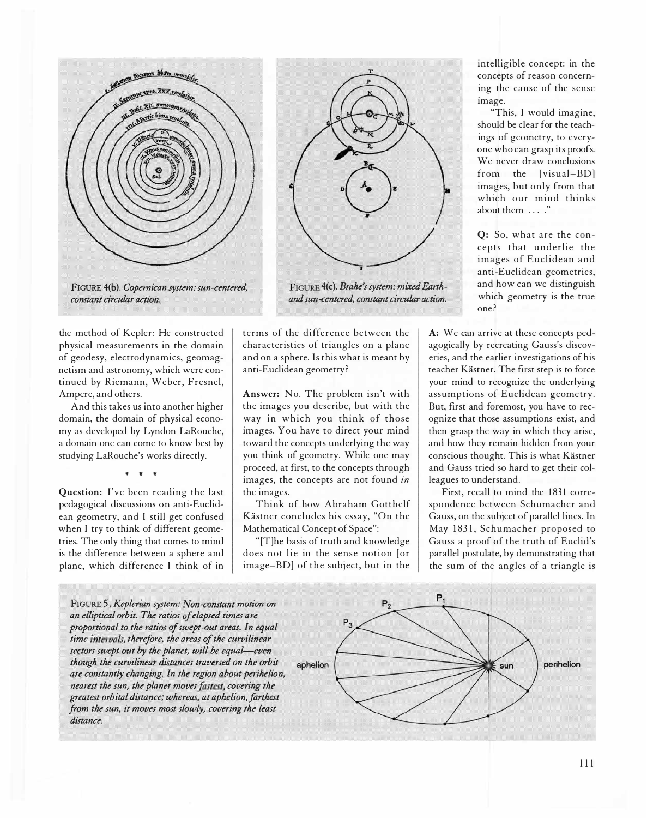

FIGURE 4(c). Brahe's system: mixed Earthand sun-centered, comtant circular action.

FIGURE 4(b). Copernican system: sun-centered, comtant circular action.

the method of Kepler: He constructed physical measurements in the domain of geodesy, electrodynamics, geomagnetism and astronomy, which were continued by Riemann, Weber, Fresnel, Ampere, and others.

And this takes us into another higher domain, the domain of physical economy as developed by Lyndon LaRouche, a domain one can come to know best by studying LaRouche's works directly.

,.. ,.. ,..

Question: I've been reading the last pedagogical discussions on anti-Euclidean geometry, and I still get confused when I try to think of different geometries. The only thing that comes to mind is the difference between a sphere and plane, which difference I think of in terms of the difference between the characteristics of triangles on a plane and on a sphere. Is this what is meant by anti-Euclidean geometry ?

Answer: No. The problem isn't with the images you describe, but with the way in which you think of those images. You have to direct your mind toward the concepts underlying the way you think of geometry. While one may proceed, at first, to the concepts through images, the concepts are not found in the images.

Think of how Abraham Gotthelf Kästner concludes his essay, "On the Mathematical Concept of Space":

"[T]he basis of truth and knowledge does not lie in the sense notion [or image-BD] of the subject, but in the

intelligible concept: in the concepts of reason concerning the cause of the sense image.

"This, I would imagine, should be clear for the teachings of geometry, to everyone who can grasp its proofs. We never draw conclusions from the [visual-BD] images, but only from that which our mind thinks about them ...."

Q: So, what are the concepts that underlie the images of Euclidean and anti-Euclidean geometries, and how can we distinguish which geometry is the true one ?

A: We can arrive at these concepts pedagogically by recreating Gauss's discoveries, and the earlier investigations of his teacher Kästner. The first step is to force your mind to recognize the underlying assumptions of Euclidean geometry. But, first and foremost, you have to recognize that those assumptions exist, and then grasp the way in which they arise, and how they remain hidden from your conscious thought. This is what Kästner and Gauss tried so hard to get their colleagues to understand.

First, recall to mind the 1831 correspondence between Schumacher and Gauss, on the subject of parallel lines. In May 1831, Schumacher proposed to Gauss a proof of the truth of Euclid's parallel postulate, by demonstrating that the sum of the angles of a triangle is

FIGURE 5. Keplerian system: Non-comtant motion on an elliptical orbit. The ratios of elapsed times are proportional to the ratios of swept-out areas. In equal time intervals, therefore, the areas of the curvilinear sectors swept out by the planet, will be equal-even though the curvilinear distances traversed on the orbit aphelion are comtantly changing. In the region about perihelion, nearest the sun, the planet moves fastest, covering the greatest orbital distance; whereas, at aphelion, farthest from the sun, it moves most slowly, covering the least distance.

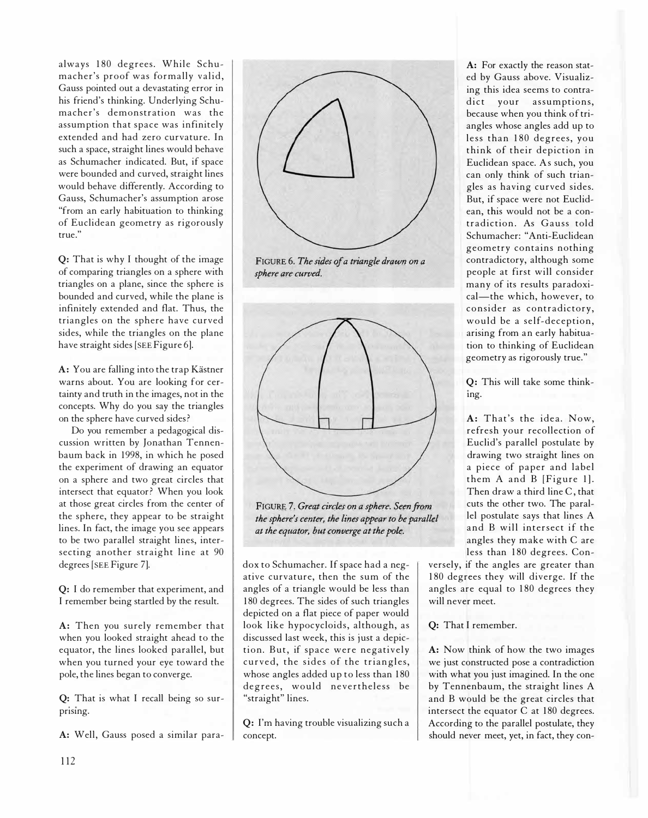always 180 degrees. While Schumacher's proof was formally valid, Gauss pointed out a devastating error in his friend's thinking. Underlying Schumacher's demonstration was the assumption that space was infinitely extended and had zero curvature. In such a space, straight lines would behave as Schumacher indicated. But, if space were bounded and curved, straight lines would behave differently. According to Gauss, Schumacher's assumption arose "from an early habituation to thinking of Euclidean geometry as rigorously true."

Q: That is why I thought of the image of comparing triangles on a sphere with triangles on a plane, since the sphere is bounded and curved, while the plane is infinitely extended and flat. Thus, the triangles on the sphere have curved sides, while the triangles on the plane have straight sides [SEE Figure 6].

A: You are falling into the trap Kästner warns about. You are looking for certainty and truth in the images, not in the concepts. Why do you say the triangles on the sphere have curved sides?

Do you remember a pedagogical discussion written by Jonathan Tennenbaum back in 1998, in which he posed the experiment of drawing an equator on a sphere and two great circles that intersect that equator? When you look at those great circles from the center of the sphere, they appear to be straight lines. In fact, the image you see appears to be two parallel straight lines, intersecting another straight line at 90 degrees [SEE Figure 7].

Q: I do remember that experiment, and I remember being startled by the result.

A: Then you surely remember that when you looked straight ahead to the equator, the lines looked parallel, but when you turned your eye toward the pole, the lines began to converge.

Q: That is what I recall being so surprising.

A: Well, Gauss posed a similar para-



FIGURE 6. The sides of a triangle drawn on a sphere are curved.



FIGURE 7. Great circles on a sphere. Seen from the sphere's center, the lines appear to be parallel at the equator, but converge at the pole.

dox to Schumacher. If space had a negative curvature, then the sum of the angles of a triangle would be less than 1 80 degrees. The sides of such triangles depicted on a flat piece of paper would look like hypocycloids, although, as discussed last week, this is just a depiction. But, if space were negatively curved, the sides of the triangles, whose angles added up to less than 180 degrees, would nevertheless be "straight" lines.

Q: I'm having trouble visualizing such a concept.

A: For exactly the reason stated by Gauss above. Visualizing this idea seems to contradict your assumptions. because when you think of triangles whose angles add up to less than 180 degrees, you think of their depiction in Euclidean space. As such, you can only think of such triangles as having curved sides. But, if space were not Euclidean, this would not be a contradiction. As Gauss told Schumacher: "Anti-Euclidean geometry contains nothing contradictory, although some people at first will consider many of its results paradoxical-the which, however, to consider as contradictory, would be a self-deception, arising from an early habituation to thinking of Euclidean geometry as rigorously true."

Q: This will take some thinking.

A: That's the idea. Now, refresh your recollection of Euclid's parallel postulate by drawing two straight lines on a piece of paper and label them A and B [Figure 1]. Then draw a third line C, that cuts the other two. The parallel postulate says that lines A and B will intersect if the angles they make with C are less than 180 degrees. Con-

versely, if the angles are greater than 1 80 degrees they will diverge. If the angles are equal to 180 degrees they will never meet.

## Q: That I remember.

A: Now think of how the two images we just constructed pose a contradiction with what you just imagined. In the one by Tennenbaum, the straight lines A and B would be the great circles that intersect the equator  $C$  at 180 degrees. According to the parallel postulate, they should never meet, yet, in fact, they con